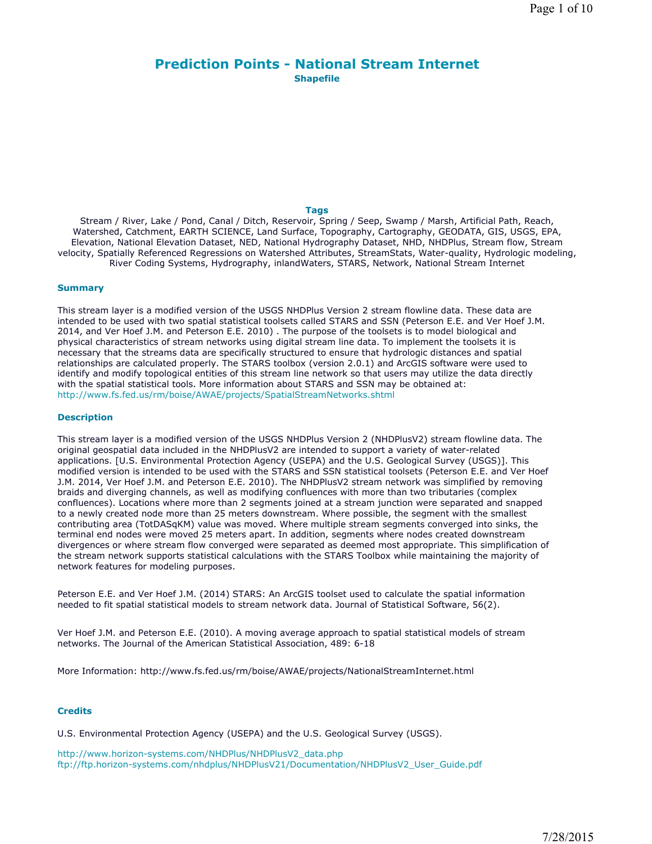# **Prediction Points - National Stream Internet Shapefile**

### **Tags**

Stream / River, Lake / Pond, Canal / Ditch, Reservoir, Spring / Seep, Swamp / Marsh, Artificial Path, Reach, Watershed, Catchment, EARTH SCIENCE, Land Surface, Topography, Cartography, GEODATA, GIS, USGS, EPA, Elevation, National Elevation Dataset, NED, National Hydrography Dataset, NHD, NHDPlus, Stream flow, Stream velocity, Spatially Referenced Regressions on Watershed Attributes, StreamStats, Water-quality, Hydrologic modeling, River Coding Systems, Hydrography, inlandWaters, STARS, Network, National Stream Internet

## **Summary**

This stream layer is a modified version of the USGS NHDPlus Version 2 stream flowline data. These data are intended to be used with two spatial statistical toolsets called STARS and SSN (Peterson E.E. and Ver Hoef J.M. 2014, and Ver Hoef J.M. and Peterson E.E. 2010) . The purpose of the toolsets is to model biological and physical characteristics of stream networks using digital stream line data. To implement the toolsets it is necessary that the streams data are specifically structured to ensure that hydrologic distances and spatial relationships are calculated properly. The STARS toolbox (version 2.0.1) and ArcGIS software were used to identify and modify topological entities of this stream line network so that users may utilize the data directly with the spatial statistical tools. More information about STARS and SSN may be obtained at: http://www.fs.fed.us/rm/boise/AWAE/projects/SpatialStreamNetworks.shtml

### **Description**

This stream layer is a modified version of the USGS NHDPlus Version 2 (NHDPlusV2) stream flowline data. The original geospatial data included in the NHDPlusV2 are intended to support a variety of water-related applications. [U.S. Environmental Protection Agency (USEPA) and the U.S. Geological Survey (USGS)]. This modified version is intended to be used with the STARS and SSN statistical toolsets (Peterson E.E. and Ver Hoef J.M. 2014, Ver Hoef J.M. and Peterson E.E. 2010). The NHDPlusV2 stream network was simplified by removing braids and diverging channels, as well as modifying confluences with more than two tributaries (complex confluences). Locations where more than 2 segments joined at a stream junction were separated and snapped to a newly created node more than 25 meters downstream. Where possible, the segment with the smallest contributing area (TotDASqKM) value was moved. Where multiple stream segments converged into sinks, the terminal end nodes were moved 25 meters apart. In addition, segments where nodes created downstream divergences or where stream flow converged were separated as deemed most appropriate. This simplification of the stream network supports statistical calculations with the STARS Toolbox while maintaining the majority of network features for modeling purposes.

Peterson E.E. and Ver Hoef J.M. (2014) STARS: An ArcGIS toolset used to calculate the spatial information needed to fit spatial statistical models to stream network data. Journal of Statistical Software, 56(2).

Ver Hoef J.M. and Peterson E.E. (2010). A moving average approach to spatial statistical models of stream networks. The Journal of the American Statistical Association, 489: 6-18

More Information: http://www.fs.fed.us/rm/boise/AWAE/projects/NationalStreamInternet.html

## **Credits**

U.S. Environmental Protection Agency (USEPA) and the U.S. Geological Survey (USGS).

http://www.horizon-systems.com/NHDPlus/NHDPlusV2\_data.php ftp://ftp.horizon-systems.com/nhdplus/NHDPlusV21/Documentation/NHDPlusV2\_User\_Guide.pdf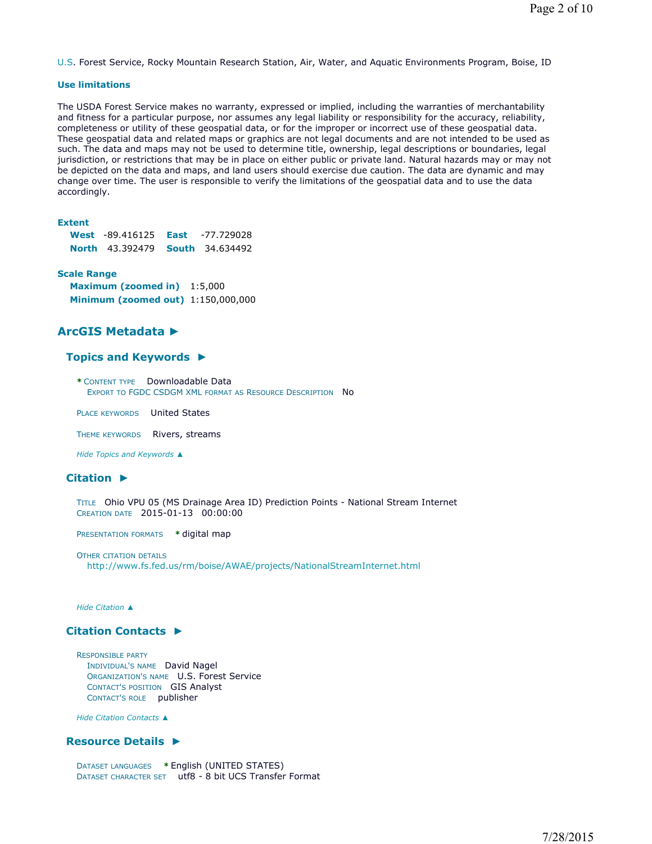U.S. Forest Service, Rocky Mountain Research Station, Air, Water, and Aquatic Environments Program, Boise, ID

### **Use limitations**

The USDA Forest Service makes no warranty, expressed or implied, including the warranties of merchantability and fitness for a particular purpose, nor assumes any legal liability or responsibility for the accuracy, reliability, completeness or utility of these geospatial data, or for the improper or incorrect use of these geospatial data. These geospatial data and related maps or graphics are not legal documents and are not intended to be used as such. The data and maps may not be used to determine title, ownership, legal descriptions or boundaries, legal jurisdiction, or restrictions that may be in place on either public or private land. Natural hazards may or may not be depicted on the data and maps, and land users should exercise due caution. The data are dynamic and may change over time. The user is responsible to verify the limitations of the geospatial data and to use the data accordingly.

## **Extent**

| <b>West -89.416125 East</b>            | -77.729028 |
|----------------------------------------|------------|
| <b>North 43.392479 South 34.634492</b> |            |

### **Scale Range**

**Maximum (zoomed in)** 1:5,000 **Minimum (zoomed out)** 1:150,000,000

# **ArcGIS Metadata ►**

## **Topics and Keywords ►**

**\*** CONTENT TYPE Downloadable Data EXPORT TO FGDC CSDGM XML FORMAT AS RESOURCE DESCRIPTION No

PLACE KEYWORDS United States

THEME KEYWORDS Rivers, streams

*Hide Topics and Keywords ▲*

## **Citation ►**

TITLE Ohio VPU 05 (MS Drainage Area ID) Prediction Points - National Stream Internet CREATION DATE 2015-01-13 00:00:00

PRESENTATION FORMATS **\*** digital map

OTHER CITATION DETAILS http://www.fs.fed.us/rm/boise/AWAE/projects/NationalStreamInternet.html

#### *Hide Citation ▲*

## **Citation Contacts ►**

RESPONSIBLE PARTY INDIVIDUAL'S NAME David Nagel ORGANIZATION'S NAME U.S. Forest Service CONTACT'S POSITION GIS Analyst CONTACT'S ROLE publisher

*Hide Citation Contacts ▲*

## **Resource Details ►**

DATASET LANGUAGES **\*** English (UNITED STATES) DATASET CHARACTER SET utf8 - 8 bit UCS Transfer Format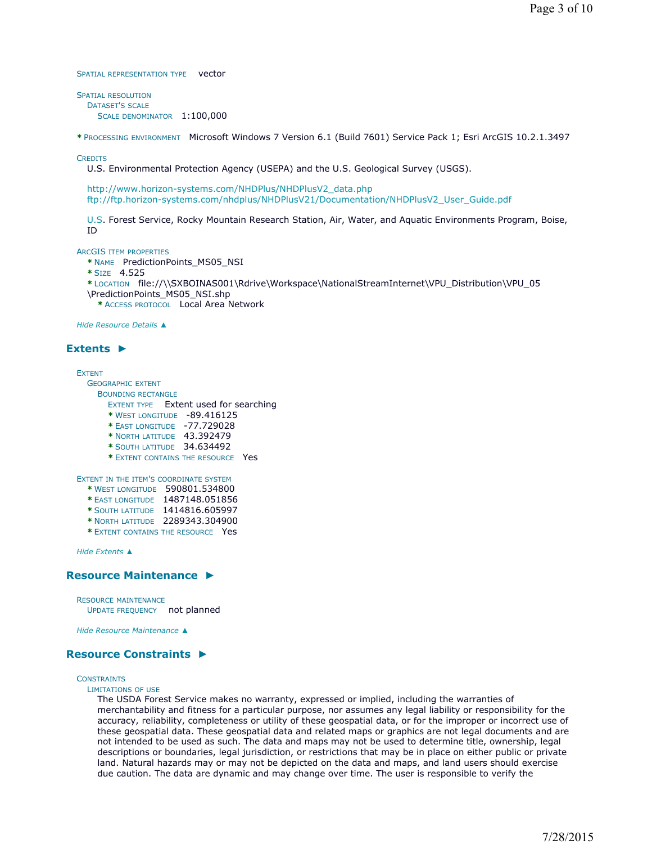SPATIAL REPRESENTATION TYPE vector

SPATIAL RESOLUTION DATASET'S SCALE SCALE DENOMINATOR 1:100,000

**\*** PROCESSING ENVIRONMENT Microsoft Windows 7 Version 6.1 (Build 7601) Service Pack 1; Esri ArcGIS 10.2.1.3497

**CREDITS** 

U.S. Environmental Protection Agency (USEPA) and the U.S. Geological Survey (USGS).

http://www.horizon-systems.com/NHDPlus/NHDPlusV2\_data.php ftp://ftp.horizon-systems.com/nhdplus/NHDPlusV21/Documentation/NHDPlusV2\_User\_Guide.pdf

U.S. Forest Service, Rocky Mountain Research Station, Air, Water, and Aquatic Environments Program, Boise, ID

ARCGIS ITEM PROPERTIES

**\*** NAME PredictionPoints\_MS05\_NSI

**\*** SIZE 4.525

- **\*** LOCATION file://\\SXBOINAS001\Rdrive\Workspace\NationalStreamInternet\VPU\_Distribution\VPU\_05
- \PredictionPoints\_MS05\_NSI.shp

**\*** ACCESS PROTOCOL Local Area Network

*Hide Resource Details ▲*

## **Extents ►**

#### **EXTENT**

- GEOGRAPHIC EXTENT
	- BOUNDING RECTANGLE
		- EXTENT TYPE Extent used for searching
		- **\*** WEST LONGITUDE -89.416125
		- **\*** EAST LONGITUDE -77.729028
		- **\*** NORTH LATITUDE 43.392479
		- **\*** SOUTH LATITUDE 34.634492
		- **\*** EXTENT CONTAINS THE RESOURCE Yes

#### EXTENT IN THE ITEM'S COORDINATE SYSTEM

- **\*** WEST LONGITUDE 590801.534800
- **\*** EAST LONGITUDE 1487148.051856
- **\*** SOUTH LATITUDE 1414816.605997
- **\*** NORTH LATITUDE 2289343.304900
- **\*** EXTENT CONTAINS THE RESOURCE Yes

*Hide Extents ▲*

## **Resource Maintenance ►**

RESOURCE MAINTENANCE UPDATE FREQUENCY not planned

*Hide Resource Maintenance ▲*

# **Resource Constraints ►**

**CONSTRAINTS** 

LIMITATIONS OF USE

The USDA Forest Service makes no warranty, expressed or implied, including the warranties of merchantability and fitness for a particular purpose, nor assumes any legal liability or responsibility for the accuracy, reliability, completeness or utility of these geospatial data, or for the improper or incorrect use of these geospatial data. These geospatial data and related maps or graphics are not legal documents and are not intended to be used as such. The data and maps may not be used to determine title, ownership, legal descriptions or boundaries, legal jurisdiction, or restrictions that may be in place on either public or private land. Natural hazards may or may not be depicted on the data and maps, and land users should exercise due caution. The data are dynamic and may change over time. The user is responsible to verify the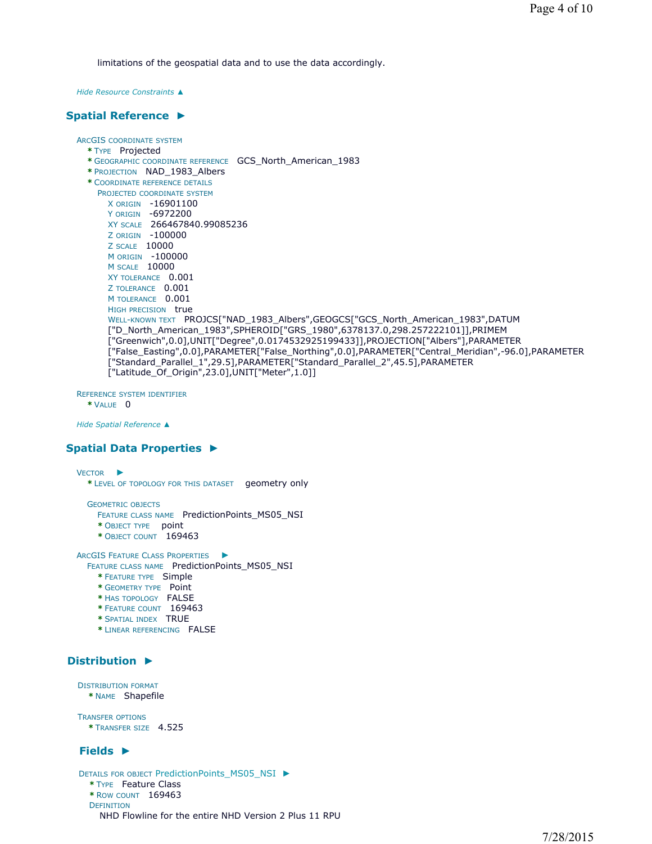limitations of the geospatial data and to use the data accordingly.

*Hide Resource Constraints ▲*

# **Spatial Reference ►**

# ARCGIS COORDINATE SYSTEM

- **\*** TYPE Projected
- **\*** GEOGRAPHIC COORDINATE REFERENCE GCS\_North\_American\_1983
- **\*** PROJECTION NAD\_1983\_Albers
- **\*** COORDINATE REFERENCE DETAILS PROJECTED COORDINATE SYSTEM
- X ORIGIN -16901100
- Y ORIGIN -6972200 XY SCALE 266467840.99085236
- Z ORIGIN -100000 Z SCALE 10000
- M ORIGIN -100000
- M SCALE 10000
- XY TOLERANCE 0.001
- Z TOLERANCE 0.001
- M TOLERANCE 0.001
- HIGH PRECISION true
	- WELL-KNOWN TEXT PROJCS["NAD\_1983\_Albers", GEOGCS["GCS\_North\_American\_1983", DATUM ["D\_North\_American\_1983",SPHEROID["GRS\_1980",6378137.0,298.257222101]],PRIMEM ["Greenwich",0.0],UNIT["Degree",0.0174532925199433]],PROJECTION["Albers"],PARAMETER ["False\_Easting",0.0],PARAMETER["False\_Northing",0.0],PARAMETER["Central\_Meridian",-96.0],PARAMETER ["Standard\_Parallel\_1",29.5],PARAMETER["Standard\_Parallel\_2",45.5],PARAMETER ["Latitude\_Of\_Origin",23.0],UNIT["Meter",1.0]]

REFERENCE SYSTEM IDENTIFIER

**\*** VALUE 0

*Hide Spatial Reference ▲*

# **Spatial Data Properties ►**

VECTOR ► **\*** LEVEL OF TOPOLOGY FOR THIS DATASET geometry only

GEOMETRIC OBJECTS

- FEATURE CLASS NAME PredictionPoints MS05 NSI
- **\*** OBJECT TYPE point
- **\*** OBJECT COUNT 169463

ARCGIS FEATURE CLASS PROPERTIES ►

FEATURE CLASS NAME PredictionPoints\_MS05\_NSI

- **\*** FEATURE TYPE Simple
- **\*** GEOMETRY TYPE Point
- **\*** HAS TOPOLOGY FALSE
- **\*** FEATURE COUNT 169463
- **\*** SPATIAL INDEX TRUE
- **\*** LINEAR REFERENCING FALSE

# **Distribution ►**

DISTRIBUTION FORMAT

**\*** NAME Shapefile

TRANSFER OPTIONS **\*** TRANSFER SIZE 4.525

# **Fields ►**

DETAILS FOR OBJECT PredictionPoints\_MS05\_NSI ► **\*** TYPE Feature Class **\*** ROW COUNT 169463 **DEFINITION** NHD Flowline for the entire NHD Version 2 Plus 11 RPU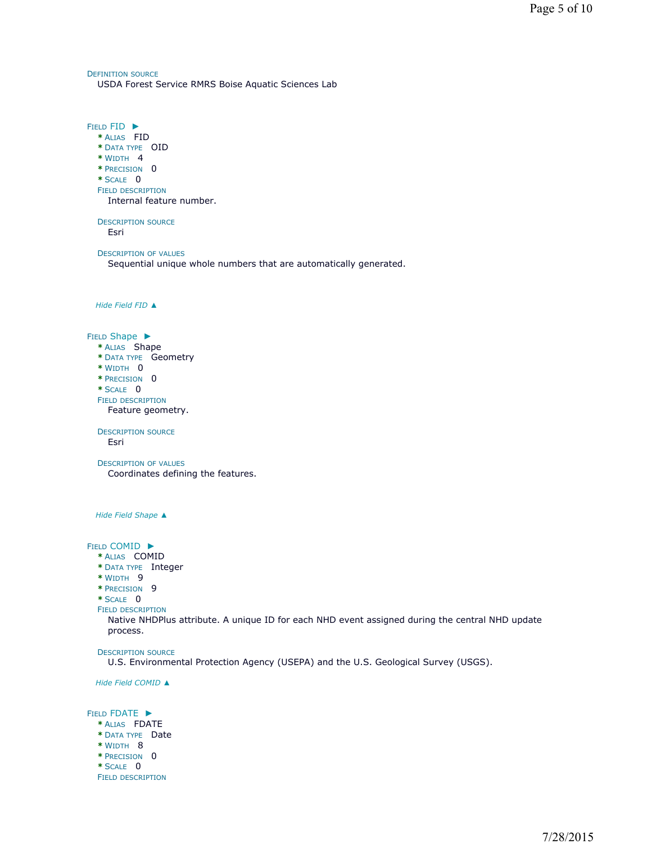DEFINITION SOURCE USDA Forest Service RMRS Boise Aquatic Sciences Lab

FIELD FID ► **\*** ALIAS FID **\*** DATA TYPE OID **\*** WIDTH 4 **\*** PRECISION 0 **\*** SCALE 0 FIELD DESCRIPTION DESCRIPTION SOURCE DESCRIPTION OF VALUES *Hide Field FID ▲* FIELD Shape ▶ **\*** ALIAS Shape **\*** DATA TYPE Geometry **\*** WIDTH 0 **\*** PRECISION 0 **\*** SCALE 0 FIELD DESCRIPTION DESCRIPTION SOURCE DESCRIPTION OF VALUES *Hide Field Shape ▲* FIELD COMID ► **\*** ALIAS COMID **\*** DATA TYPE Integer **\*** WIDTH 9 **\*** PRECISION 9 **\*** SCALE 0 FIELD DESCRIPTION DESCRIPTION SOURCE *Hide Field COMID ▲* FIELD FDATE ► **\*** ALIAS FDATE **\*** DATA TYPE Date **\*** WIDTH 8 **\*** PRECISION 0 **\*** SCALE 0 FIELD DESCRIPTION Internal feature number. Esri Sequential unique whole numbers that are automatically generated. Feature geometry. Esri Coordinates defining the features. Native NHDPlus attribute. A unique ID for each NHD event assigned during the central NHD update process. U.S. Environmental Protection Agency (USEPA) and the U.S. Geological Survey (USGS).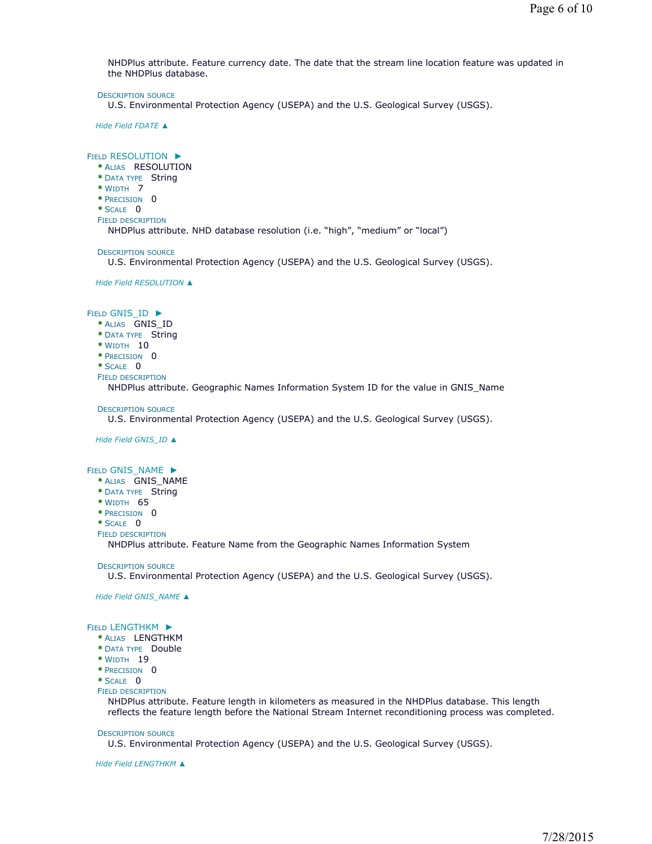NHDPlus attribute. Feature currency date. The date that the stream line location feature was updated in the NHDPlus database.

DESCRIPTION SOURCE

U.S. Environmental Protection Agency (USEPA) and the U.S. Geological Survey (USGS).

*Hide Field FDATE ▲*

### FIELD RESOLUTION ►

**\*** ALIAS RESOLUTION **\*** DATA TYPE String **\*** WIDTH 7 **\*** PRECISION 0 **\*** SCALE 0

FIELD DESCRIPTION

NHDPlus attribute. NHD database resolution (i.e. "high", "medium" or "local")

DESCRIPTION SOURCE

U.S. Environmental Protection Agency (USEPA) and the U.S. Geological Survey (USGS).

*Hide Field RESOLUTION ▲*

### FIELD GNIS\_ID ▶

- **\*** ALIAS GNIS\_ID
- **\*** DATA TYPE String
- **\*** WIDTH 10
- **\*** PRECISION 0
- **\*** SCALE 0
- FIELD DESCRIPTION

NHDPlus attribute. Geographic Names Information System ID for the value in GNIS\_Name

**DESCRIPTION SOURCE** 

U.S. Environmental Protection Agency (USEPA) and the U.S. Geological Survey (USGS).

*Hide Field GNIS\_ID ▲*

### FIELD GNIS\_NAME ▶

- **\*** ALIAS GNIS\_NAME
- **\*** DATA TYPE String
- **\*** WIDTH 65
- **\*** PRECISION 0
- **\*** SCALE 0
- FIELD DESCRIPTION

NHDPlus attribute. Feature Name from the Geographic Names Information System

**DESCRIPTION SOURCE** 

U.S. Environmental Protection Agency (USEPA) and the U.S. Geological Survey (USGS).

*Hide Field GNIS\_NAME ▲*

#### FIELD LENGTHKM ▶

- **\*** ALIAS LENGTHKM
- **\*** DATA TYPE Double
- **\*** WIDTH 19

**\*** PRECISION 0

- **\*** SCALE 0
- FIELD DESCRIPTION

NHDPlus attribute. Feature length in kilometers as measured in the NHDPlus database. This length reflects the feature length before the National Stream Internet reconditioning process was completed.

#### DESCRIPTION SOURCE

U.S. Environmental Protection Agency (USEPA) and the U.S. Geological Survey (USGS).

*Hide Field LENGTHKM ▲*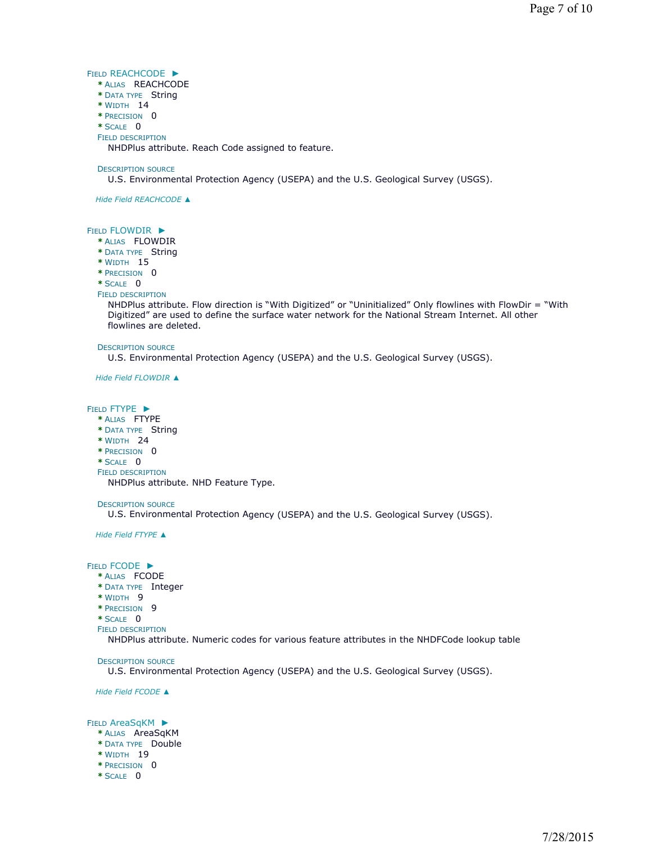### FIELD REACHCODE ►

- **\*** ALIAS REACHCODE
- **\*** DATA TYPE String
- **\*** WIDTH 14
- **\*** PRECISION 0
- **\*** SCALE 0 FIELD DESCRIPTION

NHDPlus attribute. Reach Code assigned to feature.

### DESCRIPTION SOURCE

U.S. Environmental Protection Agency (USEPA) and the U.S. Geological Survey (USGS).

*Hide Field REACHCODE ▲*

## FIELD FLOWDIR ►

- **\*** ALIAS FLOWDIR
- **\*** DATA TYPE String
- **\*** WIDTH 15
- **\*** PRECISION 0

### **\*** SCALE 0

FIELD DESCRIPTION

NHDPlus attribute. Flow direction is "With Digitized" or "Uninitialized" Only flowlines with FlowDir = "With Digitized" are used to define the surface water network for the National Stream Internet. All other flowlines are deleted.

#### DESCRIPTION SOURCE

U.S. Environmental Protection Agency (USEPA) and the U.S. Geological Survey (USGS).

*Hide Field FLOWDIR ▲*

### FIELD FTYPE ►

- **\*** ALIAS FTYPE
- **\*** DATA TYPE String
- **\*** WIDTH 24
- **\*** PRECISION 0
- **\*** SCALE 0
- FIELD DESCRIPTION

NHDPlus attribute. NHD Feature Type.

## DESCRIPTION SOURCE

U.S. Environmental Protection Agency (USEPA) and the U.S. Geological Survey (USGS).

*Hide Field FTYPE ▲*

FIELD FCODE ►

- **\*** ALIAS FCODE
- **\*** DATA TYPE Integer
- **\*** WIDTH 9
- **\*** PRECISION 9
- **\*** SCALE 0
- FIELD DESCRIPTION

NHDPlus attribute. Numeric codes for various feature attributes in the NHDFCode lookup table

### DESCRIPTION SOURCE

U.S. Environmental Protection Agency (USEPA) and the U.S. Geological Survey (USGS).

*Hide Field FCODE ▲*

### FIELD AreaSqKM ►

- **\*** ALIAS AreaSqKM
- **\*** DATA TYPE Double
- **\*** WIDTH 19
- **\*** PRECISION 0
- **\*** SCALE 0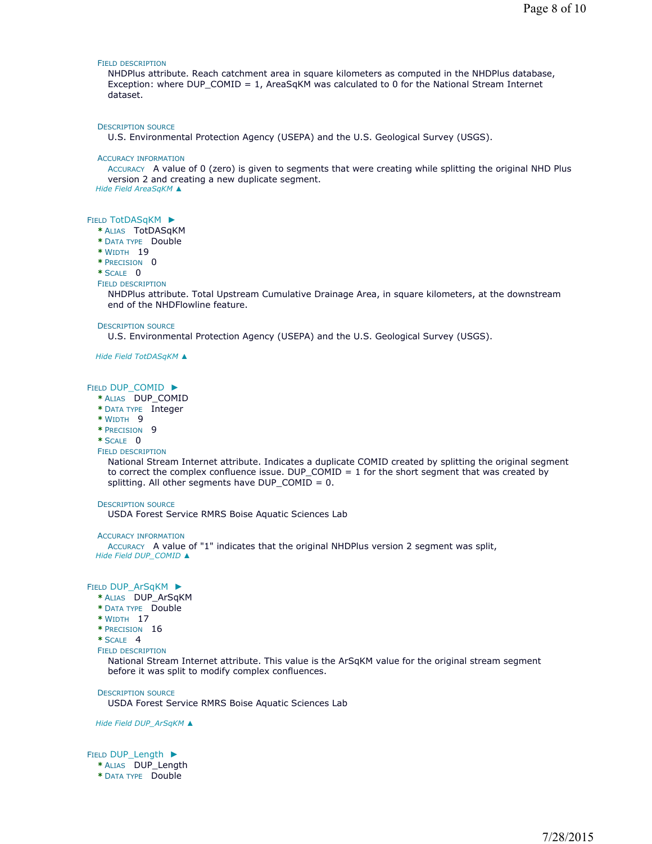#### FIELD DESCRIPTION

NHDPlus attribute. Reach catchment area in square kilometers as computed in the NHDPlus database, Exception: where DUP\_COMID = 1, AreaSqKM was calculated to 0 for the National Stream Internet dataset.

#### DESCRIPTION SOURCE

U.S. Environmental Protection Agency (USEPA) and the U.S. Geological Survey (USGS).

#### ACCURACY INFORMATION

ACCURACY A value of 0 (zero) is given to segments that were creating while splitting the original NHD Plus version 2 and creating a new duplicate segment.

*Hide Field AreaSqKM ▲*

#### FIELD TotDASqKM ▶

- **\*** ALIAS TotDASqKM
- **\*** DATA TYPE Double
- **\*** WIDTH 19
- **\*** PRECISION 0
- **\*** SCALE 0

#### FIELD DESCRIPTION

NHDPlus attribute. Total Upstream Cumulative Drainage Area, in square kilometers, at the downstream end of the NHDFlowline feature.

#### DESCRIPTION SOURCE

U.S. Environmental Protection Agency (USEPA) and the U.S. Geological Survey (USGS).

*Hide Field TotDASqKM ▲*

#### FIELD DUP\_COMID ▶

- **\*** ALIAS DUP\_COMID
- **\*** DATA TYPE Integer
- **\*** WIDTH 9
- **\*** PRECISION 9
- **\*** SCALE 0
- FIELD DESCRIPTION

National Stream Internet attribute. Indicates a duplicate COMID created by splitting the original segment to correct the complex confluence issue. DUP  $COMID = 1$  for the short segment that was created by splitting. All other segments have DUP\_COMID = 0.

### DESCRIPTION SOURCE

USDA Forest Service RMRS Boise Aquatic Sciences Lab

#### ACCURACY INFORMATION

ACCURACY A value of "1" indicates that the original NHDPlus version 2 segment was split, *Hide Field DUP\_COMID ▲*

#### FIELD DUP\_ArSqKM ▶

- **\*** ALIAS DUP\_ArSqKM
- **\*** DATA TYPE Double
- **\*** WIDTH 17
- **\*** PRECISION 16
- **\*** SCALE 4
- FIELD DESCRIPTION

National Stream Internet attribute. This value is the ArSqKM value for the original stream segment before it was split to modify complex confluences.

#### DESCRIPTION SOURCE

USDA Forest Service RMRS Boise Aquatic Sciences Lab

#### *Hide Field DUP\_ArSqKM ▲*

FIELD DUP\_Length ▶ **\*** ALIAS DUP\_Length

**\*** DATA TYPE Double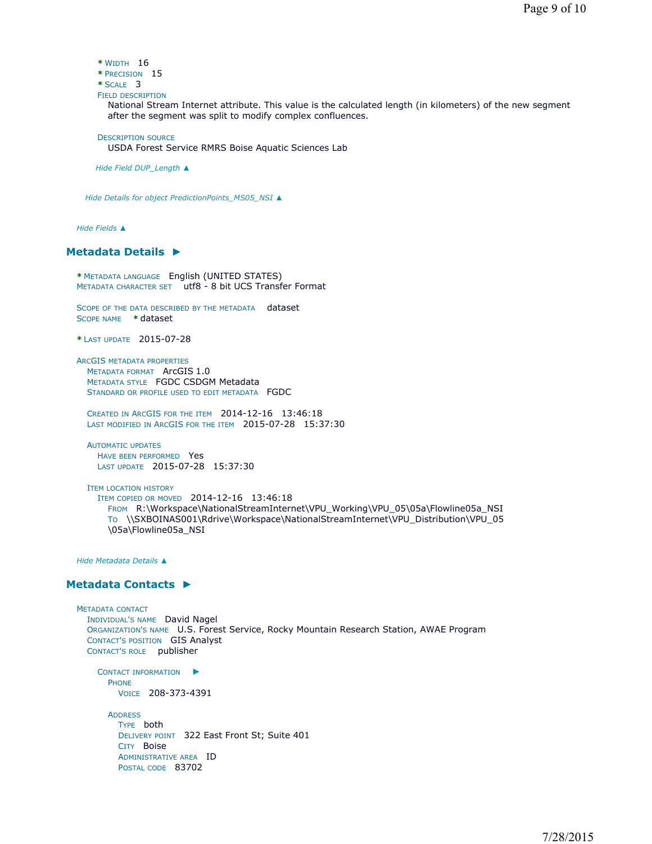- **\*** WIDTH 16
- **\*** PRECISION 15
- **\*** SCALE 3
- FIELD DESCRIPTION

National Stream Internet attribute. This value is the calculated length (in kilometers) of the new segment after the segment was split to modify complex confluences.

DESCRIPTION SOURCE

USDA Forest Service RMRS Boise Aquatic Sciences Lab

*Hide Field DUP\_Length ▲*

*Hide Details for object PredictionPoints\_MS05\_NSI ▲*

*Hide Fields ▲*

# **Metadata Details ►**

**\*** METADATA LANGUAGE English (UNITED STATES) METADATA CHARACTER SET utf8 - 8 bit UCS Transfer Format

SCOPE OF THE DATA DESCRIBED BY THE METADATA dataset SCOPE NAME **\*** dataset

**\*** LAST UPDATE 2015-07-28

ARCGIS METADATA PROPERTIES METADATA FORMAT ArcGIS 1.0 METADATA STYLE FGDC CSDGM Metadata STANDARD OR PROFILE USED TO EDIT METADATA FGDC

CREATED IN ARCGIS FOR THE ITEM 2014-12-16 13:46:18 LAST MODIFIED IN ARCGIS FOR THE ITEM 2015-07-28 15:37:30

AUTOMATIC UPDATES HAVE BEEN PERFORMED Yes LAST UPDATE 2015-07-28 15:37:30

ITEM LOCATION HISTORY ITEM COPIED OR MOVED 2014-12-16 13:46:18 FROM R:\Workspace\NationalStreamInternet\VPU\_Working\VPU\_05\05a\Flowline05a\_NSI TO \\SXBOINAS001\Rdrive\Workspace\NationalStreamInternet\VPU\_Distribution\VPU\_05 \05a\Flowline05a\_NSI

*Hide Metadata Details ▲*

# **Metadata Contacts ►**

```
METADATA CONTACT
  INDIVIDUAL'S NAME David Nagel 
  ORGANIZATION'S NAME U.S. Forest Service, Rocky Mountain Research Station, AWAE Program 
  CONTACT'S POSITION GIS Analyst 
  CONTACT'S ROLE publisher
    CONTACT INFORMATION
►
```
PHONE VOICE 208-373-4391

ADDRESS TYPE both DELIVERY POINT 322 East Front St; Suite 401 CITY Boise ADMINISTRATIVE AREA ID POSTAL CODE 83702